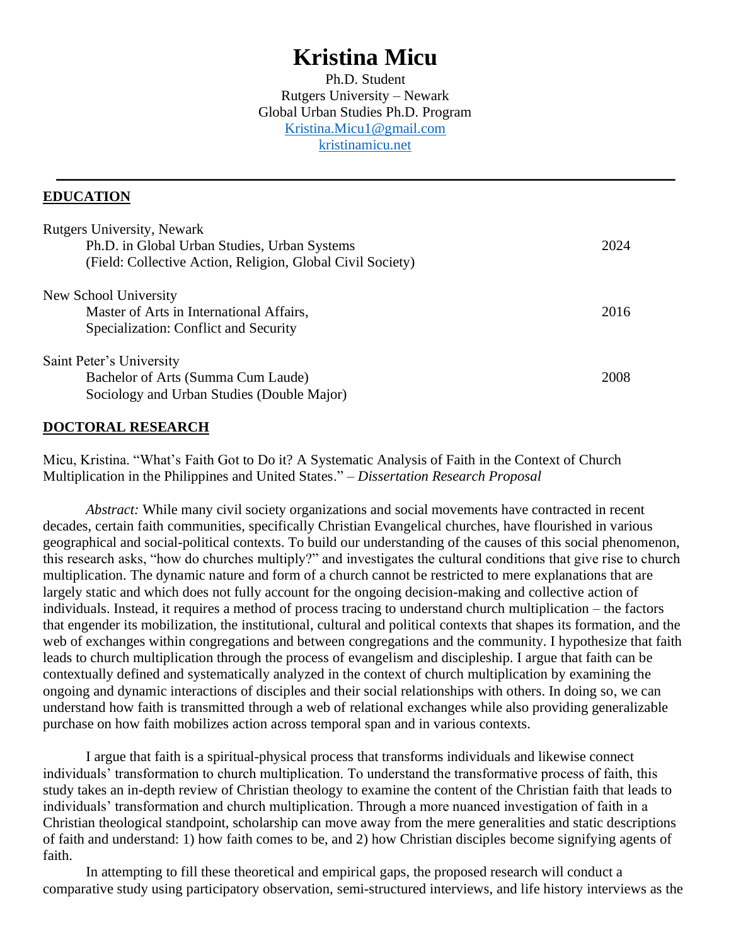# **Kristina Micu**

Ph.D. Student Rutgers University – Newark Global Urban Studies Ph.D. Program [Kristina.Micu1@gmail.com](mailto:Kristina.Micu1@gmail.com) [kristinamicu.net](http://kristinamicu.net/)

#### **EDUCATION**

| <b>Rutgers University, Newark</b>                          |      |
|------------------------------------------------------------|------|
| Ph.D. in Global Urban Studies, Urban Systems               | 2024 |
| (Field: Collective Action, Religion, Global Civil Society) |      |
| New School University                                      |      |
| Master of Arts in International Affairs,                   | 2016 |
| Specialization: Conflict and Security                      |      |
| Saint Peter's University                                   |      |
| Bachelor of Arts (Summa Cum Laude)                         | 2008 |
| Sociology and Urban Studies (Double Major)                 |      |

#### **DOCTORAL RESEARCH**

Micu, Kristina. "What's Faith Got to Do it? A Systematic Analysis of Faith in the Context of Church Multiplication in the Philippines and United States." – *Dissertation Research Proposal*

*Abstract:* While many civil society organizations and social movements have contracted in recent decades, certain faith communities, specifically Christian Evangelical churches, have flourished in various geographical and social-political contexts. To build our understanding of the causes of this social phenomenon, this research asks, "how do churches multiply?" and investigates the cultural conditions that give rise to church multiplication. The dynamic nature and form of a church cannot be restricted to mere explanations that are largely static and which does not fully account for the ongoing decision-making and collective action of individuals. Instead, it requires a method of process tracing to understand church multiplication – the factors that engender its mobilization, the institutional, cultural and political contexts that shapes its formation, and the web of exchanges within congregations and between congregations and the community. I hypothesize that faith leads to church multiplication through the process of evangelism and discipleship. I argue that faith can be contextually defined and systematically analyzed in the context of church multiplication by examining the ongoing and dynamic interactions of disciples and their social relationships with others. In doing so, we can understand how faith is transmitted through a web of relational exchanges while also providing generalizable purchase on how faith mobilizes action across temporal span and in various contexts.

I argue that faith is a spiritual-physical process that transforms individuals and likewise connect individuals' transformation to church multiplication. To understand the transformative process of faith, this study takes an in-depth review of Christian theology to examine the content of the Christian faith that leads to individuals' transformation and church multiplication. Through a more nuanced investigation of faith in a Christian theological standpoint, scholarship can move away from the mere generalities and static descriptions of faith and understand: 1) how faith comes to be, and 2) how Christian disciples become signifying agents of faith.

In attempting to fill these theoretical and empirical gaps, the proposed research will conduct a comparative study using participatory observation, semi-structured interviews, and life history interviews as the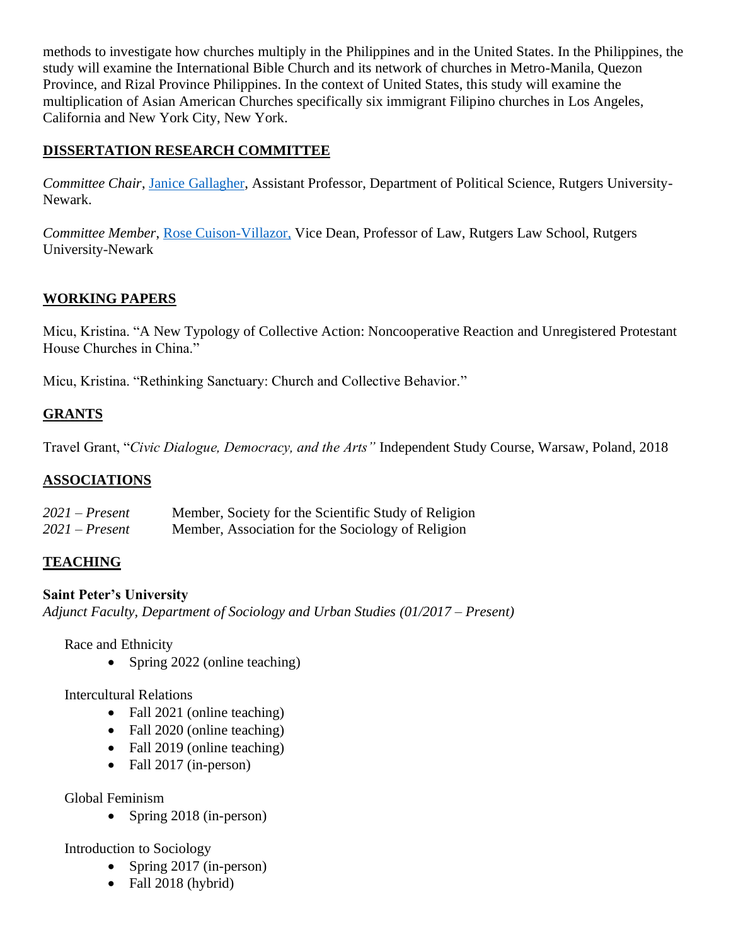methods to investigate how churches multiply in the Philippines and in the United States. In the Philippines, the study will examine the International Bible Church and its network of churches in Metro-Manila, Quezon Province, and Rizal Province Philippines. In the context of United States, this study will examine the multiplication of Asian American Churches specifically six immigrant Filipino churches in Los Angeles, California and New York City, New York.

## **DISSERTATION RESEARCH COMMITTEE**

*Committee Chair*, [Janice Gallagher,](http://www.janicekgallagher.com/) Assistant Professor, Department of Political Science, Rutgers University-Newark.

*Committee Member*, [Rose Cuison-Villazor,](https://law.rutgers.edu/directory/view/rv405) Vice Dean, Professor of Law, Rutgers Law School, Rutgers University-Newark

# **WORKING PAPERS**

Micu, Kristina. "A New Typology of Collective Action: Noncooperative Reaction and Unregistered Protestant House Churches in China."

Micu, Kristina. "Rethinking Sanctuary: Church and Collective Behavior."

## **GRANTS**

Travel Grant, "*Civic Dialogue, Democracy, and the Arts"* Independent Study Course, Warsaw, Poland, 2018

#### **ASSOCIATIONS**

| $2021$ – Present | Member, Society for the Scientific Study of Religion |
|------------------|------------------------------------------------------|
| $2021$ – Present | Member, Association for the Sociology of Religion    |

#### **TEACHING**

#### **Saint Peter's University**

*Adjunct Faculty, Department of Sociology and Urban Studies (01/2017 – Present)* 

Race and Ethnicity

• Spring 2022 (online teaching)

Intercultural Relations

- Fall 2021 (online teaching)
- Fall 2020 (online teaching)
- Fall 2019 (online teaching)
- Fall 2017 (in-person)

Global Feminism

• Spring 2018 (in-person)

Introduction to Sociology

- Spring 2017 (in-person)
- Fall 2018 (hybrid)